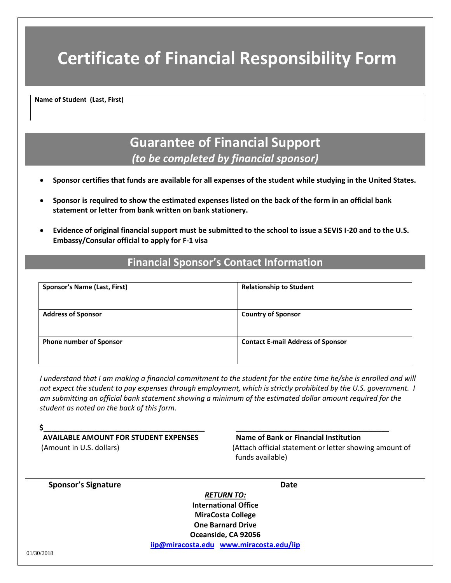# **Certificate of Financial Responsibility Form**

**Name of Student (Last, First)** 

## **Guarantee of Financial Support** *(to be completed by financial sponsor)*

- **Sponsor certifies that funds are available for all expenses of the student while studying in the United States.**
- **Sponsor is required to show the estimated expenses listed on the back of the form in an official bank statement or letter from bank written on bank stationery.**
- **Evidence of original financial support must be submitted to the school to issue a SEVIS I-20 and to the U.S. Embassy/Consular official to apply for F-1 visa**

## **Financial Sponsor's Contact Information**

| <b>Sponsor's Name (Last, First)</b> | <b>Relationship to Student</b>           |  |  |
|-------------------------------------|------------------------------------------|--|--|
| <b>Address of Sponsor</b>           | <b>Country of Sponsor</b>                |  |  |
| <b>Phone number of Sponsor</b>      | <b>Contact E-mail Address of Sponsor</b> |  |  |

*I understand that I am making a financial commitment to the student for the entire time he/she is enrolled and will not expect the student to pay expenses through employment, which is strictly prohibited by the U.S. government. I am submitting an official bank statement showing a minimum of the estimated dollar amount required for the student as noted on the back of this form.*

| <b>AVAILABLE AMOUNT FOR STUDENT EXPENSES</b><br>(Amount in U.S. dollars) | Name of Bank or Financial Institution<br>(Attach official statement or letter showing amount of<br>funds available) |  |  |
|--------------------------------------------------------------------------|---------------------------------------------------------------------------------------------------------------------|--|--|
| <b>Sponsor's Signature</b>                                               | <b>Date</b>                                                                                                         |  |  |
|                                                                          | <b>RETURN TO:</b>                                                                                                   |  |  |
|                                                                          | <b>International Office</b>                                                                                         |  |  |
|                                                                          | <b>MiraCosta College</b>                                                                                            |  |  |
|                                                                          | <b>One Barnard Drive</b>                                                                                            |  |  |
|                                                                          | Oceanside, CA 92056                                                                                                 |  |  |
|                                                                          | iip@miracosta.edu www.miracosta.edu/iip                                                                             |  |  |
| 01/30/2018                                                               |                                                                                                                     |  |  |